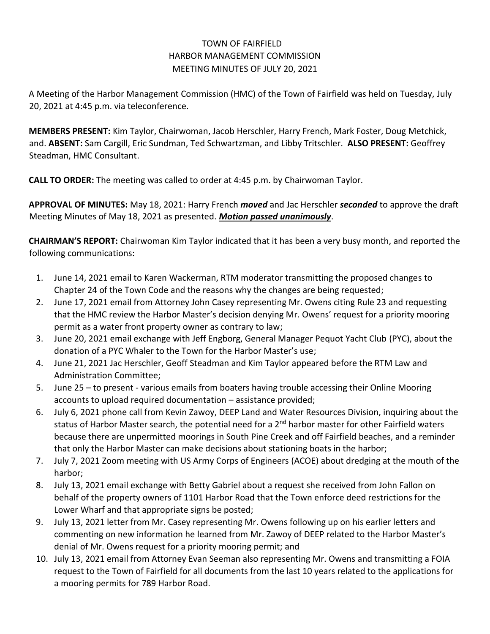## TOWN OF FAIRFIELD HARBOR MANAGEMENT COMMISSION MEETING MINUTES OF JULY 20, 2021

A Meeting of the Harbor Management Commission (HMC) of the Town of Fairfield was held on Tuesday, July 20, 2021 at 4:45 p.m. via teleconference.

**MEMBERS PRESENT:** Kim Taylor, Chairwoman, Jacob Herschler, Harry French, Mark Foster, Doug Metchick, and. **ABSENT:** Sam Cargill, Eric Sundman, Ted Schwartzman, and Libby Tritschler. **ALSO PRESENT:** Geoffrey Steadman, HMC Consultant.

**CALL TO ORDER:** The meeting was called to order at 4:45 p.m. by Chairwoman Taylor.

**APPROVAL OF MINUTES:** May 18, 2021: Harry French *moved* and Jac Herschler *seconded* to approve the draft Meeting Minutes of May 18, 2021 as presented. *Motion passed unanimously*.

**CHAIRMAN'S REPORT:** Chairwoman Kim Taylor indicated that it has been a very busy month, and reported the following communications:

- 1. June 14, 2021 email to Karen Wackerman, RTM moderator transmitting the proposed changes to Chapter 24 of the Town Code and the reasons why the changes are being requested;
- 2. June 17, 2021 email from Attorney John Casey representing Mr. Owens citing Rule 23 and requesting that the HMC review the Harbor Master's decision denying Mr. Owens' request for a priority mooring permit as a water front property owner as contrary to law;
- 3. June 20, 2021 email exchange with Jeff Engborg, General Manager Pequot Yacht Club (PYC), about the donation of a PYC Whaler to the Town for the Harbor Master's use;
- 4. June 21, 2021 Jac Herschler, Geoff Steadman and Kim Taylor appeared before the RTM Law and Administration Committee;
- 5. June 25 to present various emails from boaters having trouble accessing their Online Mooring accounts to upload required documentation – assistance provided;
- 6. July 6, 2021 phone call from Kevin Zawoy, DEEP Land and Water Resources Division, inquiring about the status of Harbor Master search, the potential need for a 2<sup>nd</sup> harbor master for other Fairfield waters because there are unpermitted moorings in South Pine Creek and off Fairfield beaches, and a reminder that only the Harbor Master can make decisions about stationing boats in the harbor;
- 7. July 7, 2021 Zoom meeting with US Army Corps of Engineers (ACOE) about dredging at the mouth of the harbor;
- 8. July 13, 2021 email exchange with Betty Gabriel about a request she received from John Fallon on behalf of the property owners of 1101 Harbor Road that the Town enforce deed restrictions for the Lower Wharf and that appropriate signs be posted;
- 9. July 13, 2021 letter from Mr. Casey representing Mr. Owens following up on his earlier letters and commenting on new information he learned from Mr. Zawoy of DEEP related to the Harbor Master's denial of Mr. Owens request for a priority mooring permit; and
- 10. July 13, 2021 email from Attorney Evan Seeman also representing Mr. Owens and transmitting a FOIA request to the Town of Fairfield for all documents from the last 10 years related to the applications for a mooring permits for 789 Harbor Road.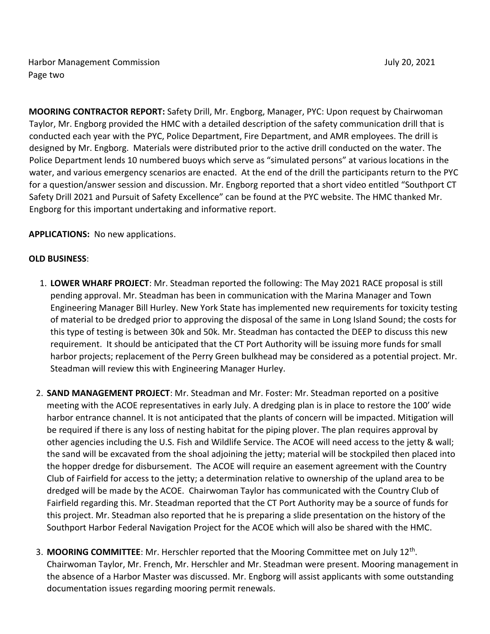Harbor Management Commission July 20, 2021 Page two

**MOORING CONTRACTOR REPORT:** Safety Drill, Mr. Engborg, Manager, PYC: Upon request by Chairwoman Taylor, Mr. Engborg provided the HMC with a detailed description of the safety communication drill that is conducted each year with the PYC, Police Department, Fire Department, and AMR employees. The drill is designed by Mr. Engborg. Materials were distributed prior to the active drill conducted on the water. The Police Department lends 10 numbered buoys which serve as "simulated persons" at various locations in the water, and various emergency scenarios are enacted. At the end of the drill the participants return to the PYC for a question/answer session and discussion. Mr. Engborg reported that a short video entitled "Southport CT Safety Drill 2021 and Pursuit of Safety Excellence" can be found at the PYC website. The HMC thanked Mr. Engborg for this important undertaking and informative report.

## **APPLICATIONS:** No new applications.

## **OLD BUSINESS**:

- 1. **LOWER WHARF PROJECT**: Mr. Steadman reported the following: The May 2021 RACE proposal is still pending approval. Mr. Steadman has been in communication with the Marina Manager and Town Engineering Manager Bill Hurley. New York State has implemented new requirements for toxicity testing of material to be dredged prior to approving the disposal of the same in Long Island Sound; the costs for this type of testing is between 30k and 50k. Mr. Steadman has contacted the DEEP to discuss this new requirement. It should be anticipated that the CT Port Authority will be issuing more funds for small harbor projects; replacement of the Perry Green bulkhead may be considered as a potential project. Mr. Steadman will review this with Engineering Manager Hurley.
- 2. **SAND MANAGEMENT PROJECT**: Mr. Steadman and Mr. Foster: Mr. Steadman reported on a positive meeting with the ACOE representatives in early July. A dredging plan is in place to restore the 100' wide harbor entrance channel. It is not anticipated that the plants of concern will be impacted. Mitigation will be required if there is any loss of nesting habitat for the piping plover. The plan requires approval by other agencies including the U.S. Fish and Wildlife Service. The ACOE will need access to the jetty & wall; the sand will be excavated from the shoal adjoining the jetty; material will be stockpiled then placed into the hopper dredge for disbursement. The ACOE will require an easement agreement with the Country Club of Fairfield for access to the jetty; a determination relative to ownership of the upland area to be dredged will be made by the ACOE. Chairwoman Taylor has communicated with the Country Club of Fairfield regarding this. Mr. Steadman reported that the CT Port Authority may be a source of funds for this project. Mr. Steadman also reported that he is preparing a slide presentation on the history of the Southport Harbor Federal Navigation Project for the ACOE which will also be shared with the HMC.
- 3. **MOORING COMMITTEE**: Mr. Herschler reported that the Mooring Committee met on July 12th . Chairwoman Taylor, Mr. French, Mr. Herschler and Mr. Steadman were present. Mooring management in the absence of a Harbor Master was discussed. Mr. Engborg will assist applicants with some outstanding documentation issues regarding mooring permit renewals.